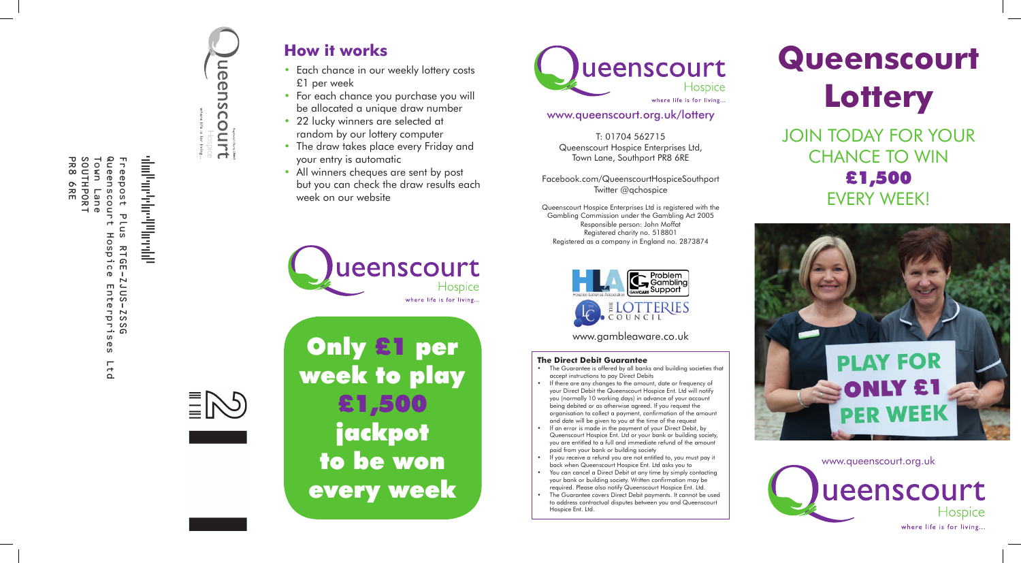

Hospice

 $\equiv$ NS



- Each chance in our weekly lottery costs £1 per week
- For each chance you purchase you will be allocated a unique draw number
- 22 lucky winners are selected at random by our lottery computer
- The draw takes place every Friday and your entry is automatic
- All winners cheques are sent by post but you can check the draw results each week on our website



# **Queenscourt Lottery** JOIN TODAY FOR YOUR CHANCE TO WIN £1,500 EVERY WEEK!



www.queenscourt.org.uk

ueenscourt Hospice where life is for living..

# **How it works**

Only £1 per week to play £1,500 **jackpot** to be won every week



#### **The Direct Debit Guarantee**

- The Guarantee is offered by all banks and building societies that accept instructions to pay Direct Debits
- If there are any changes to the amount, date or frequency of your Direct Debit the Queenscourt Hospice Ent. Ltd will notify you (normally 10 working days) in advance of your account being debited or as otherwise agreed. If you request the organisation to collect a payment, confirmation of the amount and date will be given to you at the time of the request
- If an error is made in the payment of your Direct Debit, by Queenscourt Hospice Ent. Ltd or your bank or building society, you are entitled to a full and immediate refund of the amount paid from your bank or building society
- If you receive a refund you are not entitled to, you must pay it back when Queenscourt Hospice Ent. Ltd asks you to
- You can cancel a Direct Debit at any time by simply contacting your bank or building society. Written confirmation may be required. Please also notify Queenscourt Hospice Ent. Ltd.
- The Guarantee covers Direct Debit payments. It cannot be used to address contractual disputes between you and Queenscourt Hospice Ent. Ltd.

## www.queenscourt.org.uk/lottery

T: 01704 562715 Queenscourt Hospice Enterprises Ltd, Town Lane, Southport PR8 6RE

Facebook.com/QueenscourtHospiceSouthport Twitter @qchospice

Queenscourt Hospice Enterprises Ltd is registered with the Gambling Commission under the Gambling Act 2005 Responsible person: John Moffat Registered charity no. 518801 Registered as a company in England no. 2873874



www.gambleaware.co.uk